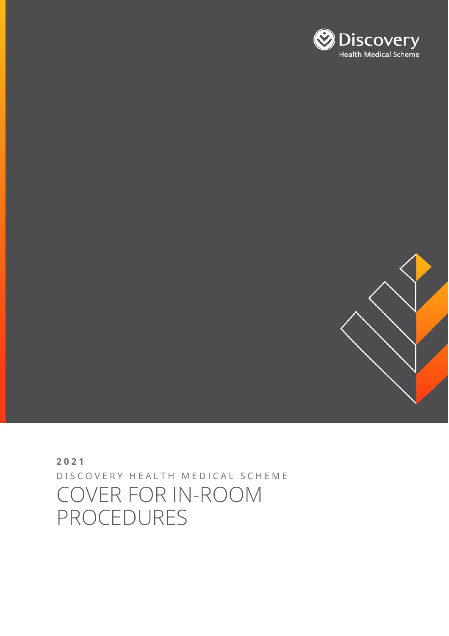# **2021** D I S C O V E R Y H E A L T H M E D I C A L S C H E M E COVER FOR IN-ROOM PROCEDURES



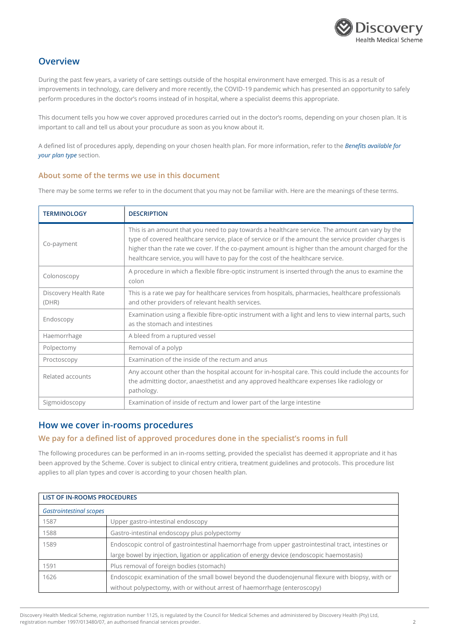

## **Overview**

During the past few years, a variety of care settings outside of the hospital environment have emerged. This is as a result of improvements in technology, care delivery and more recently, the COVID-19 pandemic which has presented an opportunity to safely perform procedures in the doctor's rooms instead of in hospital, where a specialist deems this appropriate.

This document tells you how we cover approved procedures carried out in the doctor's rooms, depending on your chosen plan. It is important to call and tell us about your procudure as soon as you know about it.

A defined list of procedures apply, depending on your chosen health plan. For more information, refer to the *Benefits available for your plan type* section.

## **About some of the terms we use in this document**

There may be some terms we refer to in the document that you may not be familiar with. Here are the meanings of these terms.

| <b>TERMINOLOGY</b>             | <b>DESCRIPTION</b>                                                                                                                                                                                                                                                                                                                                                                                |
|--------------------------------|---------------------------------------------------------------------------------------------------------------------------------------------------------------------------------------------------------------------------------------------------------------------------------------------------------------------------------------------------------------------------------------------------|
| Co-payment                     | This is an amount that you need to pay towards a healthcare service. The amount can vary by the<br>type of covered healthcare service, place of service or if the amount the service provider charges is<br>higher than the rate we cover. If the co-payment amount is higher than the amount charged for the<br>healthcare service, you will have to pay for the cost of the healthcare service. |
| Colonoscopy                    | A procedure in which a flexible fibre-optic instrument is inserted through the anus to examine the<br>colon                                                                                                                                                                                                                                                                                       |
| Discovery Health Rate<br>(DHR) | This is a rate we pay for healthcare services from hospitals, pharmacies, healthcare professionals<br>and other providers of relevant health services.                                                                                                                                                                                                                                            |
| Endoscopy                      | Examination using a flexible fibre-optic instrument with a light and lens to view internal parts, such<br>as the stomach and intestines                                                                                                                                                                                                                                                           |
| Haemorrhage                    | A bleed from a ruptured vessel                                                                                                                                                                                                                                                                                                                                                                    |
| Polpectomy                     | Removal of a polyp                                                                                                                                                                                                                                                                                                                                                                                |
| Proctoscopy                    | Examination of the inside of the rectum and anus                                                                                                                                                                                                                                                                                                                                                  |
| Related accounts               | Any account other than the hospital account for in-hospital care. This could include the accounts for<br>the admitting doctor, anaesthetist and any approved healthcare expenses like radiology or<br>pathology.                                                                                                                                                                                  |
| Sigmoidoscopy                  | Examination of inside of rectum and lower part of the large intestine                                                                                                                                                                                                                                                                                                                             |

## **How we cover in-rooms procedures**

## **We pay for a defined list of approved procedures done in the specialist's rooms in full**

The following procedures can be performed in an in-rooms setting, provided the specialist has deemed it appropriate and it has been approved by the Scheme. Cover is subject to clinical entry critiera, treatment guidelines and protocols. This procedure list applies to all plan types and cover is according to your chosen health plan.

| LIST OF IN-ROOMS PROCEDURES    |                                                                                                     |  |
|--------------------------------|-----------------------------------------------------------------------------------------------------|--|
| <b>Gastrointestinal scopes</b> |                                                                                                     |  |
| 1587                           | Upper gastro-intestinal endoscopy                                                                   |  |
| 1588                           | Gastro-intestinal endoscopy plus polypectomy                                                        |  |
| 1589                           | Endoscopic control of gastrointestinal haemorrhage from upper gastrointestinal tract, intestines or |  |
|                                | large bowel by injection, ligation or application of energy device (endoscopic haemostasis)         |  |
| 1591                           | Plus removal of foreign bodies (stomach)                                                            |  |
| 1626                           | Endoscopic examination of the small bowel beyond the duodenojenunal flexure with biopsy, with or    |  |
|                                | without polypectomy, with or without arrest of haemorrhage (enteroscopy)                            |  |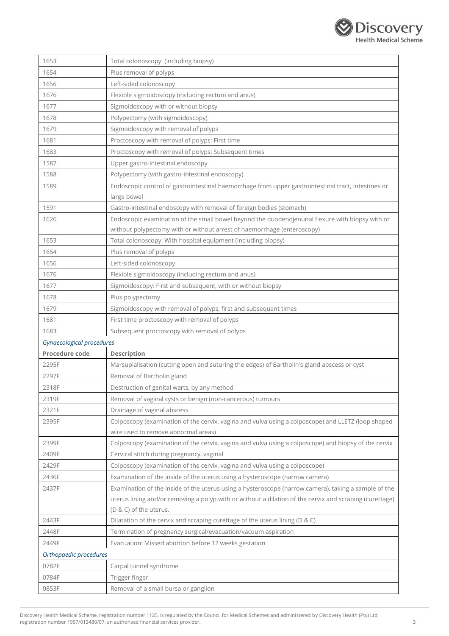

| 1653                      | Total colonoscopy (including biopsy)                                                                    |
|---------------------------|---------------------------------------------------------------------------------------------------------|
| 1654                      | Plus removal of polyps                                                                                  |
| 1656                      | Left-sided colonoscopy                                                                                  |
| 1676                      | Flexible sigmoidoscopy (including rectum and anus)                                                      |
| 1677                      | Sigmoidoscopy with or without biopsy                                                                    |
| 1678                      | Polypectomy (with sigmoidoscopy)                                                                        |
| 1679                      | Sigmoidoscopy with removal of polyps                                                                    |
| 1681                      | Proctoscopy with removal of polyps: First time                                                          |
| 1683                      | Proctoscopy with removal of polyps: Subsequent times                                                    |
| 1587                      | Upper gastro-intestinal endoscopy                                                                       |
| 1588                      | Polypectomy (with gastro-intestinal endoscopy)                                                          |
| 1589                      | Endoscopic control of gastrointestinal haemorrhage from upper gastrointestinal tract, intestines or     |
|                           | large bowel                                                                                             |
| 1591                      | Gastro-intestinal endoscopy with removal of foreign bodies (stomach)                                    |
| 1626                      | Endoscopic examination of the small bowel beyond the duodenojenunal flexure with biopsy with or         |
|                           | without polypectomy with or without arrest of haemorrhage (enteroscopy)                                 |
| 1653                      | Total colonoscopy: With hospital equipment (including biopsy)                                           |
| 1654                      | Plus removal of polyps                                                                                  |
| 1656                      | Left-sided colonoscopy                                                                                  |
| 1676                      | Flexible sigmoidoscopy (including rectum and anus)                                                      |
| 1677                      | Sigmoidoscopy: First and subsequent, with or without biopsy                                             |
| 1678                      | Plus polypectomy                                                                                        |
| 1679                      | Sigmoidoscopy with removal of polyps, first and subsequent times                                        |
| 1681                      | First time proctoscopy with removal of polyps                                                           |
|                           |                                                                                                         |
| 1683                      | Subsequent proctoscopy with removal of polyps                                                           |
| Gynaecological procedures |                                                                                                         |
| Procedure code            | Description                                                                                             |
| 2295F                     | Marsupialisation (cutting open and suturing the edges) of Bartholin's gland abscess or cyst             |
| 2297F                     | Removal of Bartholin gland                                                                              |
| 2318F                     | Destruction of genital warts, by any method                                                             |
| 2319F                     | Removal of vaginal cysts or benign (non-cancerous) tumours                                              |
| 2321F                     | Drainage of vaginal abscess                                                                             |
| 2395F                     | Colposcopy (examination of the cervix, vagina and vulva using a colposcope) and LLETZ (loop shaped      |
|                           | wire used to remove abnormal areas)                                                                     |
| 2399F                     | Colposcopy (examination of the cervix, vagina and vulva using a colposcope) and biopsy of the cervix    |
| 2409F                     | Cervical stitch during pregnancy, vaginal                                                               |
| 2429F                     | Colposcopy (examination of the cervix, vagina and vulva using a colposcope)                             |
| 2436F                     | Examination of the inside of the uterus using a hysteroscope (narrow camera)                            |
| 2437F                     | Examination of the inside of the uterus using a hysteroscope (narrow camera), taking a sample of the    |
|                           | uterus lining and/or removing a polyp with or without a dilation of the cervix and scraping (curettage) |
|                           | (D & C) of the uterus.                                                                                  |
| 2443F                     | Dilatation of the cervix and scraping curettage of the uterus lining (D & C)                            |
| 2448F                     | Termination of pregnancy surgical/evacuation/vacuum aspiration                                          |
| 2449F                     | Evacuation: Missed abortion before 12 weeks gestation                                                   |
| Orthopaedic procedures    |                                                                                                         |
| 0782F                     | Carpal tunnel syndrome                                                                                  |
| 0784F<br>0853F            | Trigger finger<br>Removal of a small bursa or ganglion                                                  |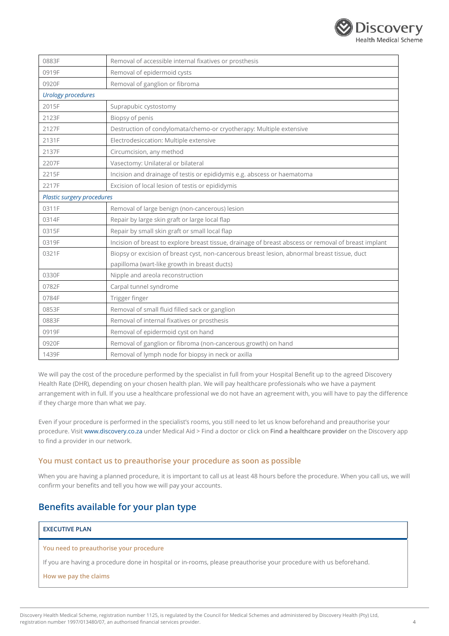

| 0883F                      | Removal of accessible internal fixatives or prosthesis                                               |  |
|----------------------------|------------------------------------------------------------------------------------------------------|--|
| 0919F                      | Removal of epidermoid cysts                                                                          |  |
| 0920F                      | Removal of ganglion or fibroma                                                                       |  |
| <b>Urology procedures</b>  |                                                                                                      |  |
| 2015F                      | Suprapubic cystostomy                                                                                |  |
| 2123F                      | Biopsy of penis                                                                                      |  |
| 2127F                      | Destruction of condylomata/chemo-or cryotherapy: Multiple extensive                                  |  |
| 2131F                      | Electrodesiccation: Multiple extensive                                                               |  |
| 2137F                      | Circumcision, any method                                                                             |  |
| 2207F                      | Vasectomy: Unilateral or bilateral                                                                   |  |
| 2215F                      | Incision and drainage of testis or epididymis e.g. abscess or haematoma                              |  |
| 2217F                      | Excision of local lesion of testis or epididymis                                                     |  |
| Plastic surgery procedures |                                                                                                      |  |
| 0311F                      | Removal of large benign (non-cancerous) lesion                                                       |  |
| 0314F                      | Repair by large skin graft or large local flap                                                       |  |
| 0315F                      | Repair by small skin graft or small local flap                                                       |  |
| 0319F                      | Incision of breast to explore breast tissue, drainage of breast abscess or removal of breast implant |  |
| 0321F                      | Biopsy or excision of breast cyst, non-cancerous breast lesion, abnormal breast tissue, duct         |  |
|                            | papilloma (wart-like growth in breast ducts)                                                         |  |
| 0330F                      | Nipple and areola reconstruction                                                                     |  |
| 0782F                      | Carpal tunnel syndrome                                                                               |  |
| 0784F                      | Trigger finger                                                                                       |  |
| 0853F                      | Removal of small fluid filled sack or ganglion                                                       |  |
| 0883F                      | Removal of internal fixatives or prosthesis                                                          |  |
| 0919F                      | Removal of epidermoid cyst on hand                                                                   |  |
| 0920F                      | Removal of ganglion or fibroma (non-cancerous growth) on hand                                        |  |
| 1439F                      | Removal of lymph node for biopsy in neck or axilla                                                   |  |

We will pay the cost of the procedure performed by the specialist in full from your Hospital Benefit up to the agreed Discovery Health Rate (DHR), depending on your chosen health plan. We will pay healthcare professionals who we have a payment arrangement with in full. If you use a healthcare professional we do not have an agreement with, you will have to pay the difference if they charge more than what we pay.

Even if your procedure is performed in the specialist's rooms, you still need to let us know beforehand and preauthorise your procedure. Visi[t www.discovery.co.za](http://www.discovery.co.za/) under Medical Aid > Find a doctor or click on **Find a healthcare provider** on the Discovery app to find a provider in our network.

## **You must contact us to preauthorise your procedure as soon as possible**

When you are having a planned procedure, it is important to call us at least 48 hours before the procedure. When you call us, we will confirm your benefits and tell you how we will pay your accounts.

## **Benefits available for your plan type**

## **EXECUTIVE PLAN**

#### **You need to preauthorise your procedure**

If you are having a procedure done in hospital or in-rooms, please preauthorise your procedure with us beforehand.

### **How we pay the claims**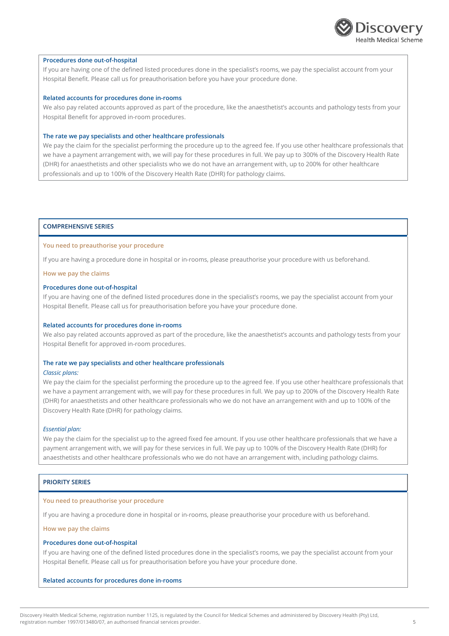

#### **Procedures done out-of-hospital**

If you are having one of the defined listed procedures done in the specialist's rooms, we pay the specialist account from your Hospital Benefit. Please call us for preauthorisation before you have your procedure done.

#### **Related accounts for procedures done in-rooms**

We also pay related accounts approved as part of the procedure, like the anaesthetist's accounts and pathology tests from your Hospital Benefit for approved in-room procedures.

## **The rate we pay specialists and other healthcare professionals**

We pay the claim for the specialist performing the procedure up to the agreed fee. If you use other healthcare professionals that we have a payment arrangement with, we will pay for these procedures in full. We pay up to 300% of the Discovery Health Rate (DHR) for anaesthetists and other specialists who we do not have an arrangement with, up to 200% for other healthcare professionals and up to 100% of the Discovery Health Rate (DHR) for pathology claims.

### **COMPREHENSIVE SERIES**

## **You need to preauthorise your procedure**

If you are having a procedure done in hospital or in-rooms, please preauthorise your procedure with us beforehand.

**How we pay the claims**

#### **Procedures done out-of-hospital**

If you are having one of the defined listed procedures done in the specialist's rooms, we pay the specialist account from your Hospital Benefit. Please call us for preauthorisation before you have your procedure done.

#### **Related accounts for procedures done in-rooms**

We also pay related accounts approved as part of the procedure, like the anaesthetist's accounts and pathology tests from your Hospital Benefit for approved in-room procedures.

#### **The rate we pay specialists and other healthcare professionals**

#### *Classic plans:*

We pay the claim for the specialist performing the procedure up to the agreed fee. If you use other healthcare professionals that we have a payment arrangement with, we will pay for these procedures in full. We pay up to 200% of the Discovery Health Rate (DHR) for anaesthetists and other healthcare professionals who we do not have an arrangement with and up to 100% of the Discovery Health Rate (DHR) for pathology claims.

#### *Essential plan:*

We pay the claim for the specialist up to the agreed fixed fee amount. If you use other healthcare professionals that we have a payment arrangement with, we will pay for these services in full. We pay up to 100% of the Discovery Health Rate (DHR) for anaesthetists and other healthcare professionals who we do not have an arrangement with, including pathology claims.

### **PRIORITY SERIES**

#### **You need to preauthorise your procedure**

If you are having a procedure done in hospital or in-rooms, please preauthorise your procedure with us beforehand.

**How we pay the claims**

#### **Procedures done out-of-hospital**

If you are having one of the defined listed procedures done in the specialist's rooms, we pay the specialist account from your Hospital Benefit. Please call us for preauthorisation before you have your procedure done.

#### **Related accounts for procedures done in-rooms**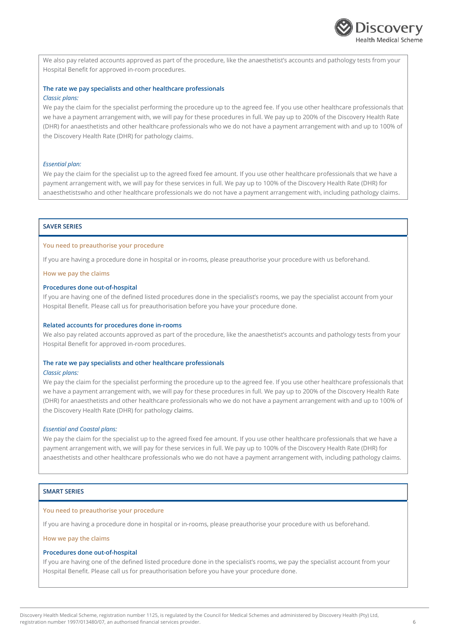

We also pay related accounts approved as part of the procedure, like the anaesthetist's accounts and pathology tests from your Hospital Benefit for approved in-room procedures.

### **The rate we pay specialists and other healthcare professionals** *Classic plans:*

We pay the claim for the specialist performing the procedure up to the agreed fee. If you use other healthcare professionals that we have a payment arrangement with, we will pay for these procedures in full. We pay up to 200% of the Discovery Health Rate (DHR) for anaesthetists and other healthcare professionals who we do not have a payment arrangement with and up to 100% of the Discovery Health Rate (DHR) for pathology claims.

#### *Essential plan:*

We pay the claim for the specialist up to the agreed fixed fee amount. If you use other healthcare professionals that we have a payment arrangement with, we will pay for these services in full. We pay up to 100% of the Discovery Health Rate (DHR) for anaesthetistswho and other healthcare professionals we do not have a payment arrangement with, including pathology claims.

## **SAVER SERIES**

#### **You need to preauthorise your procedure**

If you are having a procedure done in hospital or in-rooms, please preauthorise your procedure with us beforehand.

**How we pay the claims**

#### **Procedures done out-of-hospital**

If you are having one of the defined listed procedures done in the specialist's rooms, we pay the specialist account from your Hospital Benefit. Please call us for preauthorisation before you have your procedure done.

#### **Related accounts for procedures done in-rooms**

We also pay related accounts approved as part of the procedure, like the anaesthetist's accounts and pathology tests from your Hospital Benefit for approved in-room procedures.

#### **The rate we pay specialists and other healthcare professionals**

#### *Classic plans:*

We pay the claim for the specialist performing the procedure up to the agreed fee. If you use other healthcare professionals that we have a payment arrangement with, we will pay for these procedures in full. We pay up to 200% of the Discovery Health Rate (DHR) for anaesthetists and other healthcare professionals who we do not have a payment arrangement with and up to 100% of the Discovery Health Rate (DHR) for pathology claims.

#### *Essential and Coastal plans:*

We pay the claim for the specialist up to the agreed fixed fee amount. If you use other healthcare professionals that we have a payment arrangement with, we will pay for these services in full. We pay up to 100% of the Discovery Health Rate (DHR) for anaesthetists and other healthcare professionals who we do not have a payment arrangement with, including pathology claims.

## **SMART SERIES**

#### **You need to preauthorise your procedure**

If you are having a procedure done in hospital or in-rooms, please preauthorise your procedure with us beforehand.

#### **How we pay the claims**

### **Procedures done out-of-hospital**

If you are having one of the defined listed procedure done in the specialist's rooms, we pay the specialist account from your Hospital Benefit. Please call us for preauthorisation before you have your procedure done.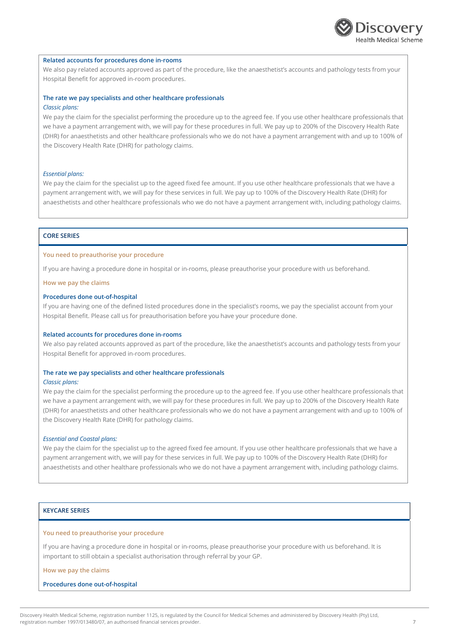

#### **Related accounts for procedures done in-rooms**

We also pay related accounts approved as part of the procedure, like the anaesthetist's accounts and pathology tests from your Hospital Benefit for approved in-room procedures.

## **The rate we pay specialists and other healthcare professionals**

## *Classic plans:*

We pay the claim for the specialist performing the procedure up to the agreed fee. If you use other healthcare professionals that we have a payment arrangement with, we will pay for these procedures in full. We pay up to 200% of the Discovery Health Rate (DHR) for anaesthetists and other healthcare professionals who we do not have a payment arrangement with and up to 100% of the Discovery Health Rate (DHR) for pathology claims.

#### *Essential plans:*

We pay the claim for the specialist up to the ageed fixed fee amount. If you use other healthcare professionals that we have a payment arrangement with, we will pay for these services in full. We pay up to 100% of the Discovery Health Rate (DHR) for anaesthetists and other healthcare professionals who we do not have a payment arrangement with, including pathology claims.

## **CORE SERIES**

#### **You need to preauthorise your procedure**

If you are having a procedure done in hospital or in-rooms, please preauthorise your procedure with us beforehand.

#### **How we pay the claims**

#### **Procedures done out-of-hospital**

If you are having one of the defined listed procedures done in the specialist's rooms, we pay the specialist account from your Hospital Benefit. Please call us for preauthorisation before you have your procedure done.

#### **Related accounts for procedures done in-rooms**

We also pay related accounts approved as part of the procedure, like the anaesthetist's accounts and pathology tests from your Hospital Benefit for approved in-room procedures.

#### **The rate we pay specialists and other healthcare professionals**

#### *Classic plans:*

We pay the claim for the specialist performing the procedure up to the agreed fee. If you use other healthcare professionals that we have a payment arrangement with, we will pay for these procedures in full. We pay up to 200% of the Discovery Health Rate (DHR) for anaesthetists and other healthcare professionals who we do not have a payment arrangement with and up to 100% of the Discovery Health Rate (DHR) for pathology claims.

#### *Essential and Coastal plans:*

We pay the claim for the specialist up to the agreed fixed fee amount. If you use other healthcare professionals that we have a payment arrangement with, we will pay for these services in full. We pay up to 100% of the Discovery Health Rate (DHR) for anaesthetists and other healthare professionals who we do not have a payment arrangement with, including pathology claims.

## **KEYCARE SERIES**

## **You need to preauthorise your procedure**

If you are having a procedure done in hospital or in-rooms, please preauthorise your procedure with us beforehand. It is important to still obtain a specialist authorisation through referral by your GP.

**How we pay the claims**

#### **Procedures done out-of-hospital**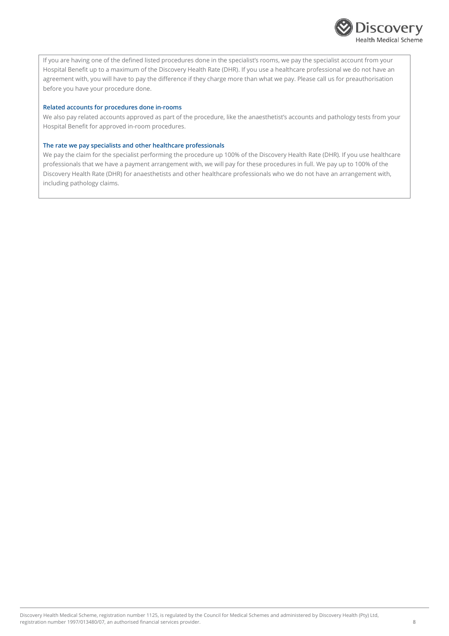

If you are having one of the defined listed procedures done in the specialist's rooms, we pay the specialist account from your Hospital Benefit up to a maximum of the Discovery Health Rate (DHR). If you use a healthcare professional we do not have an agreement with, you will have to pay the difference if they charge more than what we pay. Please call us for preauthorisation before you have your procedure done.

### **Related accounts for procedures done in-rooms**

We also pay related accounts approved as part of the procedure, like the anaesthetist's accounts and pathology tests from your Hospital Benefit for approved in-room procedures.

## **The rate we pay specialists and other healthcare professionals**

We pay the claim for the specialist performing the procedure up 100% of the Discovery Health Rate (DHR). If you use healthcare professionals that we have a payment arrangement with, we will pay for these procedures in full. We pay up to 100% of the Discovery Health Rate (DHR) for anaesthetists and other healthcare professionals who we do not have an arrangement with, including pathology claims.